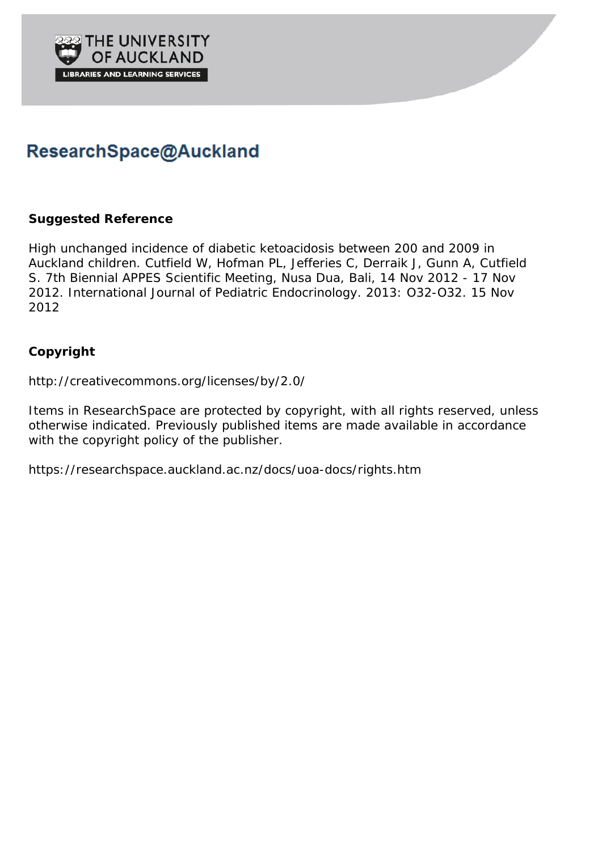

# ResearchSpace@Auckland

# **Suggested Reference**

High unchanged incidence of diabetic ketoacidosis between 200 and 2009 in Auckland children. Cutfield W, Hofman PL, Jefferies C, Derraik J, Gunn A, Cutfield S. 7th Biennial APPES Scientific Meeting, Nusa Dua, Bali, 14 Nov 2012 - 17 Nov 2012. International Journal of Pediatric Endocrinology. 2013: O32-O32. 15 Nov 2012

# **Copyright**

http://creativecommons.org/licenses/by/2.0/

Items in ResearchSpace are protected by copyright, with all rights reserved, unless otherwise indicated. Previously published items are made available in accordance with the copyright policy of the publisher.

https://researchspace.auckland.ac.nz/docs/uoa-docs/rights.htm